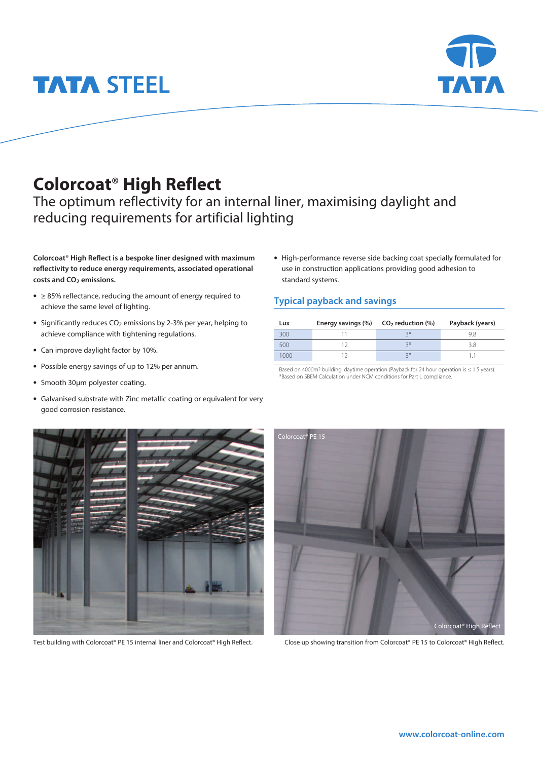# **TATA STEEL**

### **Colorcoat**® **High Reflect**

The optimum reflectivity for an internal liner, maximising daylight and reducing requirements for artificial lighting

**Colorcoat**® **High Reflect is a bespoke liner designed with maximum reflectivity to reduce energy requirements, associated operational costs and CO2 emissions.** 

- **•** ≥ 85% reflectance, reducing the amount of energy required to achieve the same level of lighting.
- Significantly reduces CO<sub>2</sub> emissions by 2-3% per year, helping to achieve compliance with tightening regulations.
- **•** Can improve daylight factor by 10%.
- **•** Possible energy savings of up to 12% per annum.
- **•** Smooth 30µm polyester coating.
- **•** Galvanised substrate with Zinc metallic coating or equivalent for very good corrosion resistance.

**•** High-performance reverse side backing coat specially formulated for use in construction applications providing good adhesion to standard systems.

#### **Typical payback and savings**

| Lux | Energy savings $(\%)$ $CO2$ reduction $(\%)$ |    | Payback (years) |
|-----|----------------------------------------------|----|-----------------|
| 300 |                                              | ⊋∗ | 98              |
| 500 |                                              | ⊋∗ | ΚЯ              |
| nog |                                              | ⊋⋇ |                 |

Based on 4000m<sup>2</sup> building, daytime operation (Payback for 24 hour operation is ≤ 1.5 years). \*Based on SBEM Calculation under NCM conditions for Part L compliance.

Test building with Colorcoat® PE 15 internal liner and Colorcoat® High Reflect. Close up showing transition from Colorcoat® PE 15 to Colorcoat® High Reflect.